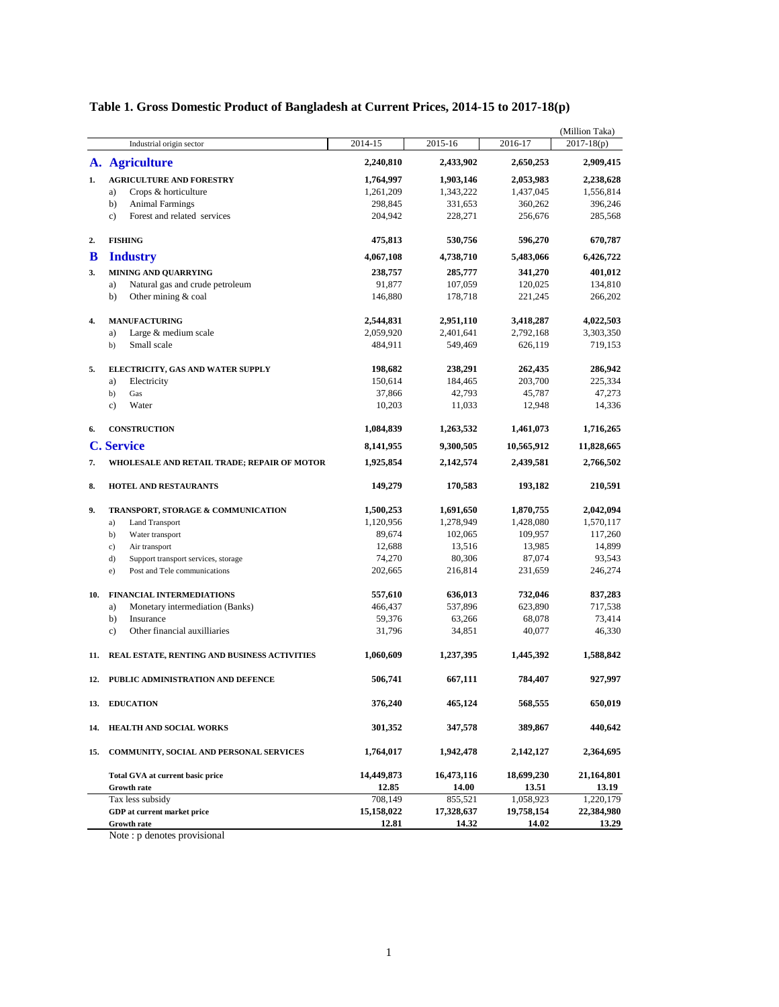|     |                                                |              |            |            | (Million Taka) |
|-----|------------------------------------------------|--------------|------------|------------|----------------|
|     | Industrial origin sector                       | 2014-15      | 2015-16    | 2016-17    | $2017 - 18(p)$ |
|     | A. Agriculture                                 | 2,240,810    | 2,433,902  | 2,650,253  | 2,909,415      |
| 1.  | <b>AGRICULTURE AND FORESTRY</b>                | 1,764,997    | 1,903,146  | 2,053,983  | 2,238,628      |
|     | Crops & horticulture<br>a)                     | 1,261,209    | 1,343,222  | 1,437,045  | 1,556,814      |
|     | b)<br><b>Animal Farmings</b>                   | 298,845      | 331,653    | 360,262    | 396,246        |
|     | Forest and related services<br>$\mathbf{c}$ )  | 204,942      | 228,271    | 256,676    | 285,568        |
| 2.  | <b>FISHING</b>                                 | 475,813      | 530,756    | 596,270    | 670,787        |
| B   | <b>Industry</b>                                | 4,067,108    | 4,738,710  | 5,483,066  | 6,426,722      |
| 3.  | <b>MINING AND QUARRYING</b>                    | 238,757      | 285,777    | 341,270    | 401,012        |
|     | Natural gas and crude petroleum<br>a)          | 91,877       | 107,059    | 120,025    | 134,810        |
|     | Other mining & coal<br>b)                      | 146,880      | 178,718    | 221,245    | 266,202        |
| 4.  | <b>MANUFACTURING</b>                           | 2,544,831    | 2,951,110  | 3,418,287  | 4,022,503      |
|     | Large & medium scale<br>a)                     | 2,059,920    | 2,401,641  | 2,792,168  | 3,303,350      |
|     | Small scale<br>b)                              | 484,911      | 549,469    | 626,119    | 719,153        |
| 5.  | ELECTRICITY, GAS AND WATER SUPPLY              | 198,682      | 238,291    | 262,435    | 286,942        |
|     | a)<br>Electricity                              | 150,614      | 184,465    | 203,700    | 225,334        |
|     | b)<br>Gas                                      | 37,866       | 42,793     | 45,787     | 47,273         |
|     | $\mathbf{c}$ )<br>Water                        | 10,203       | 11,033     | 12,948     | 14,336         |
| 6.  | <b>CONSTRUCTION</b>                            | 1,084,839    | 1,263,532  | 1,461,073  | 1,716,265      |
|     | <b>C. Service</b>                              | 8,141,955    | 9,300,505  | 10,565,912 | 11,828,665     |
| 7.  | WHOLESALE AND RETAIL TRADE; REPAIR OF MOTOR    | 1,925,854    | 2,142,574  | 2,439,581  | 2,766,502      |
| 8.  | <b>HOTEL AND RESTAURANTS</b>                   | 149,279      | 170,583    | 193,182    | 210,591        |
| 9.  | TRANSPORT, STORAGE & COMMUNICATION             | 1,500,253    | 1,691,650  | 1,870,755  | 2,042,094      |
|     | a)<br><b>Land Transport</b>                    | 1,120,956    | 1,278,949  | 1,428,080  | 1,570,117      |
|     | b)<br>Water transport                          | 89,674       | 102,065    | 109,957    | 117,260        |
|     | $\mathbf{c}$ )<br>Air transport                | 12,688       | 13,516     | 13,985     | 14,899         |
|     | d)<br>Support transport services, storage      | 74,270       | 80,306     | 87,074     | 93,543         |
|     | e)<br>Post and Tele communications             | 202,665      | 216,814    | 231,659    | 246,274        |
| 10. | <b>FINANCIAL INTERMEDIATIONS</b>               | 557,610      | 636,013    | 732,046    | 837,283        |
|     | Monetary intermediation (Banks)<br>a)          | 466,437      | 537,896    | 623,890    | 717,538        |
|     | b)<br>Insurance                                | 59,376       | 63,266     | 68,078     | 73,414         |
|     | Other financial auxilliaries<br>$\mathbf{c}$ ) | 31,796       | 34,851     | 40,077     | 46,330         |
| 11. | REAL ESTATE, RENTING AND BUSINESS ACTIVITIES   | 1,060,609    | 1,237,395  | 1,445,392  | 1,588,842      |
| 12. | PUBLIC ADMINISTRATION AND DEFENCE              | 506,741      | 667,111    | 784,407    | 927,997        |
| 13. | <b>EDUCATION</b>                               | 376,240      | 465,124    | 568,555    | 650,019        |
| 14. | HEALTH AND SOCIAL WORKS                        | 301,352      | 347,578    | 389,867    | 440,642        |
| 15. | COMMUNITY, SOCIAL AND PERSONAL SERVICES        | 1,764,017    | 1,942,478  | 2,142,127  | 2,364,695      |
|     | <b>Total GVA at current basic price</b>        | 14,449,873   | 16,473,116 | 18,699,230 | 21,164,801     |
|     | <b>Growth rate</b>                             | 12.85        | 14.00      | 13.51      | 13.19          |
|     | Tax less subsidy                               | 708,149      | 855,521    | 1,058,923  | 1,220,179      |
|     | GDP at current market price                    | 15,158,022   | 17,328,637 | 19,758,154 | 22,384,980     |
|     | Growth rate                                    | <u>12.81</u> | 14.32      | 14.02      | 13.29          |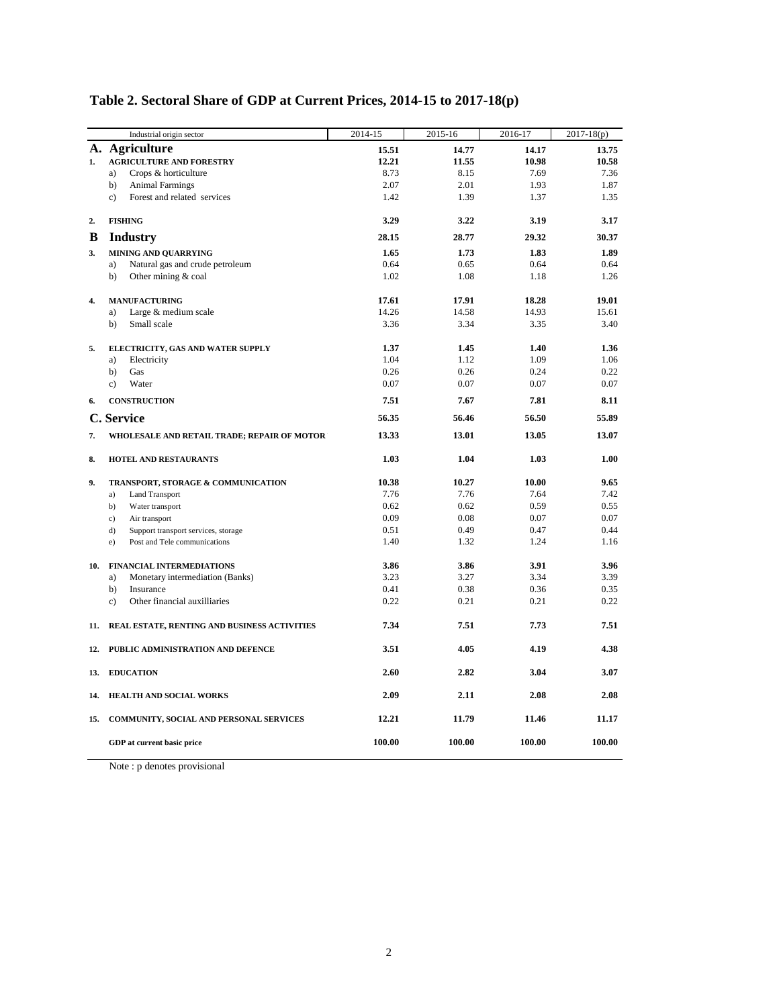|     | Industrial origin sector                      | 2014-15      | 2015-16      | 2016-17      | $2017 - 18(p)$ |
|-----|-----------------------------------------------|--------------|--------------|--------------|----------------|
|     | A. Agriculture                                | 15.51        | 14.77        | 14.17        | 13.75          |
| 1.  | <b>AGRICULTURE AND FORESTRY</b>               | 12.21        | 11.55        | 10.98        | 10.58          |
|     | Crops & horticulture<br>a)                    | 8.73         | 8.15         | 7.69         | 7.36           |
|     | b)<br><b>Animal Farmings</b>                  | 2.07         | 2.01         | 1.93         | 1.87           |
|     | Forest and related services<br>$\mathbf{c}$ ) | 1.42         | 1.39         | 1.37         | 1.35           |
| 2.  | <b>FISHING</b>                                | 3.29         | 3.22         | 3.19         | 3.17           |
| B   | <b>Industry</b>                               | 28.15        | 28.77        | 29.32        | 30.37          |
| 3.  | <b>MINING AND QUARRYING</b>                   | 1.65         | 1.73         | 1.83         | 1.89           |
|     | Natural gas and crude petroleum<br>a)         | 0.64         | 0.65         | 0.64         | 0.64           |
|     | Other mining & coal<br>b)                     | 1.02         | 1.08         | 1.18         | 1.26           |
| 4.  | <b>MANUFACTURING</b>                          | 17.61        | 17.91        | 18.28        | 19.01          |
|     | Large & medium scale<br>a)                    | 14.26        | 14.58        | 14.93        | 15.61          |
|     | Small scale<br>b)                             | 3.36         | 3.34         | 3.35         | 3.40           |
| 5.  | ELECTRICITY, GAS AND WATER SUPPLY             | 1.37         | 1.45         | 1.40         | 1.36           |
|     | Electricity<br>a)                             | 1.04         | 1.12         | 1.09         | 1.06           |
|     | Gas<br>b)                                     | 0.26         | 0.26         | 0.24         | 0.22           |
|     | $\mathbf{c}$ )<br>Water                       | 0.07         | 0.07         | 0.07         | 0.07           |
| 6.  | <b>CONSTRUCTION</b>                           | 7.51         | 7.67         | 7.81         | 8.11           |
|     | C. Service                                    | 56.35        | 56.46        | 56.50        | 55.89          |
| 7.  | WHOLESALE AND RETAIL TRADE; REPAIR OF MOTOR   | 13.33        | 13.01        | 13.05        | 13.07          |
| 8.  | <b>HOTEL AND RESTAURANTS</b>                  | 1.03         | 1.04         | 1.03         | 1.00           |
| 9.  | TRANSPORT, STORAGE & COMMUNICATION            | 10.38        | 10.27        | 10.00        | 9.65           |
|     | <b>Land Transport</b><br>a)                   | 7.76         | 7.76         | 7.64         | 7.42           |
|     | b)<br>Water transport                         | 0.62         | 0.62         | 0.59         | 0.55           |
|     | Air transport<br>c)                           | 0.09         | 0.08         | 0.07         | 0.07           |
|     | d)<br>Support transport services, storage     | 0.51<br>1.40 | 0.49<br>1.32 | 0.47<br>1.24 | 0.44<br>1.16   |
|     | Post and Tele communications<br>e)            |              |              |              |                |
| 10. | <b>FINANCIAL INTERMEDIATIONS</b>              | 3.86         | 3.86         | 3.91         | 3.96           |
|     | Monetary intermediation (Banks)<br>a)         | 3.23         | 3.27         | 3.34         | 3.39           |
|     | b)<br>Insurance                               | 0.41         | 0.38         | 0.36         | 0.35           |
|     | Other financial auxilliaries<br>c)            | 0.22         | 0.21         | 0.21         | 0.22           |
| 11. | REAL ESTATE, RENTING AND BUSINESS ACTIVITIES  | 7.34         | 7.51         | 7.73         | 7.51           |
| 12. | PUBLIC ADMINISTRATION AND DEFENCE             | 3.51         | 4.05         | 4.19         | 4.38           |
| 13. | <b>EDUCATION</b>                              | 2.60         | 2.82         | 3.04         | 3.07           |
| 14. | <b>HEALTH AND SOCIAL WORKS</b>                | 2.09         | 2.11         | 2.08         | 2.08           |
| 15. | COMMUNITY, SOCIAL AND PERSONAL SERVICES       | 12.21        | 11.79        | 11.46        | 11.17          |
|     | GDP at current basic price                    | 100.00       | 100.00       | 100.00       | 100.00         |

# **Table 2. Sectoral Share of GDP at Current Prices, 2014-15 to 2017-18(p)**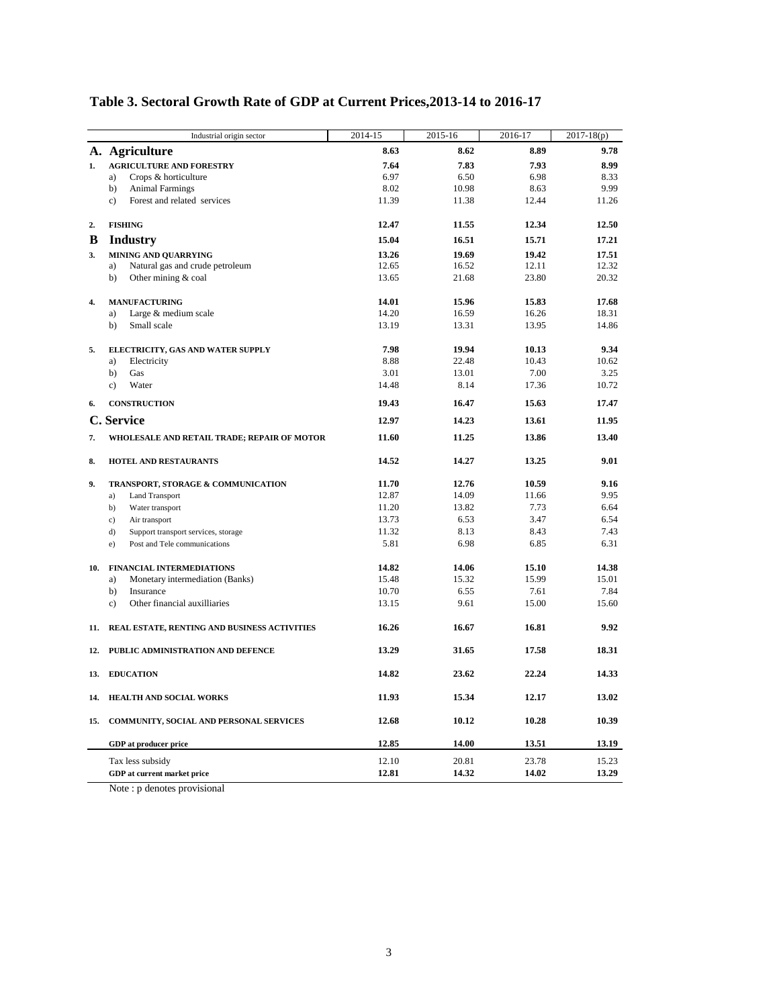|     | Industrial origin sector                       | 2014-15 | 2015-16 | 2016-17 | $2017 - 18(p)$ |
|-----|------------------------------------------------|---------|---------|---------|----------------|
|     | A. Agriculture                                 | 8.63    | 8.62    | 8.89    | 9.78           |
| 1.  | <b>AGRICULTURE AND FORESTRY</b>                | 7.64    | 7.83    | 7.93    | 8.99           |
|     | a)<br>Crops & horticulture                     | 6.97    | 6.50    | 6.98    | 8.33           |
|     | b)<br><b>Animal Farmings</b>                   | 8.02    | 10.98   | 8.63    | 9.99           |
|     | Forest and related services<br>$\mathbf{c}$ )  | 11.39   | 11.38   | 12.44   | 11.26          |
| 2.  | <b>FISHING</b>                                 | 12.47   | 11.55   | 12.34   | 12.50          |
| B   | <b>Industry</b>                                | 15.04   | 16.51   | 15.71   | 17.21          |
| 3.  | <b>MINING AND QUARRYING</b>                    | 13.26   | 19.69   | 19.42   | 17.51          |
|     | Natural gas and crude petroleum<br>a)          | 12.65   | 16.52   | 12.11   | 12.32          |
|     | Other mining & coal<br>b)                      | 13.65   | 21.68   | 23.80   | 20.32          |
| 4.  | <b>MANUFACTURING</b>                           | 14.01   | 15.96   | 15.83   | 17.68          |
|     | Large & medium scale<br>a)                     | 14.20   | 16.59   | 16.26   | 18.31          |
|     | Small scale<br>b)                              | 13.19   | 13.31   | 13.95   | 14.86          |
| 5.  | ELECTRICITY, GAS AND WATER SUPPLY              | 7.98    | 19.94   | 10.13   | 9.34           |
|     | Electricity<br>a)                              | 8.88    | 22.48   | 10.43   | 10.62          |
|     | b)<br>Gas                                      | 3.01    | 13.01   | 7.00    | 3.25           |
|     | $\mathbf{c}$ )<br>Water                        | 14.48   | 8.14    | 17.36   | 10.72          |
| 6.  | <b>CONSTRUCTION</b>                            | 19.43   | 16.47   | 15.63   | 17.47          |
|     | C. Service                                     | 12.97   | 14.23   | 13.61   | 11.95          |
| 7.  | WHOLESALE AND RETAIL TRADE; REPAIR OF MOTOR    | 11.60   | 11.25   | 13.86   | 13.40          |
| 8.  | <b>HOTEL AND RESTAURANTS</b>                   | 14.52   | 14.27   | 13.25   | 9.01           |
| 9.  | TRANSPORT, STORAGE & COMMUNICATION             | 11.70   | 12.76   | 10.59   | 9.16           |
|     | <b>Land Transport</b><br>a)                    | 12.87   | 14.09   | 11.66   | 9.95           |
|     | b)<br>Water transport                          | 11.20   | 13.82   | 7.73    | 6.64           |
|     | c)<br>Air transport                            | 13.73   | 6.53    | 3.47    | 6.54           |
|     | d)<br>Support transport services, storage      | 11.32   | 8.13    | 8.43    | 7.43           |
|     | Post and Tele communications<br>e)             | 5.81    | 6.98    | 6.85    | 6.31           |
| 10. | <b>FINANCIAL INTERMEDIATIONS</b>               | 14.82   | 14.06   | 15.10   | 14.38          |
|     | Monetary intermediation (Banks)<br>a)          | 15.48   | 15.32   | 15.99   | 15.01          |
|     | b)<br>Insurance                                | 10.70   | 6.55    | 7.61    | 7.84           |
|     | Other financial auxilliaries<br>$\mathbf{c}$ ) | 13.15   | 9.61    | 15.00   | 15.60          |
| 11. | REAL ESTATE, RENTING AND BUSINESS ACTIVITIES   | 16.26   | 16.67   | 16.81   | 9.92           |
|     | 12. PUBLIC ADMINISTRATION AND DEFENCE          | 13.29   | 31.65   | 17.58   | 18.31          |
| 13. | <b>EDUCATION</b>                               | 14.82   | 23.62   | 22.24   | 14.33          |
| 14. | HEALTH AND SOCIAL WORKS                        | 11.93   | 15.34   | 12.17   | 13.02          |
| 15. | COMMUNITY, SOCIAL AND PERSONAL SERVICES        | 12.68   | 10.12   | 10.28   | 10.39          |
|     | <b>GDP</b> at producer price                   | 12.85   | 14.00   | 13.51   | 13.19          |
|     | Tax less subsidy                               | 12.10   | 20.81   | 23.78   | 15.23          |
|     | GDP at current market price                    | 12.81   | 14.32   | 14.02   | 13.29          |
|     |                                                |         |         |         |                |

# **Table 3. Sectoral Growth Rate of GDP at Current Prices,2013-14 to 2016-17**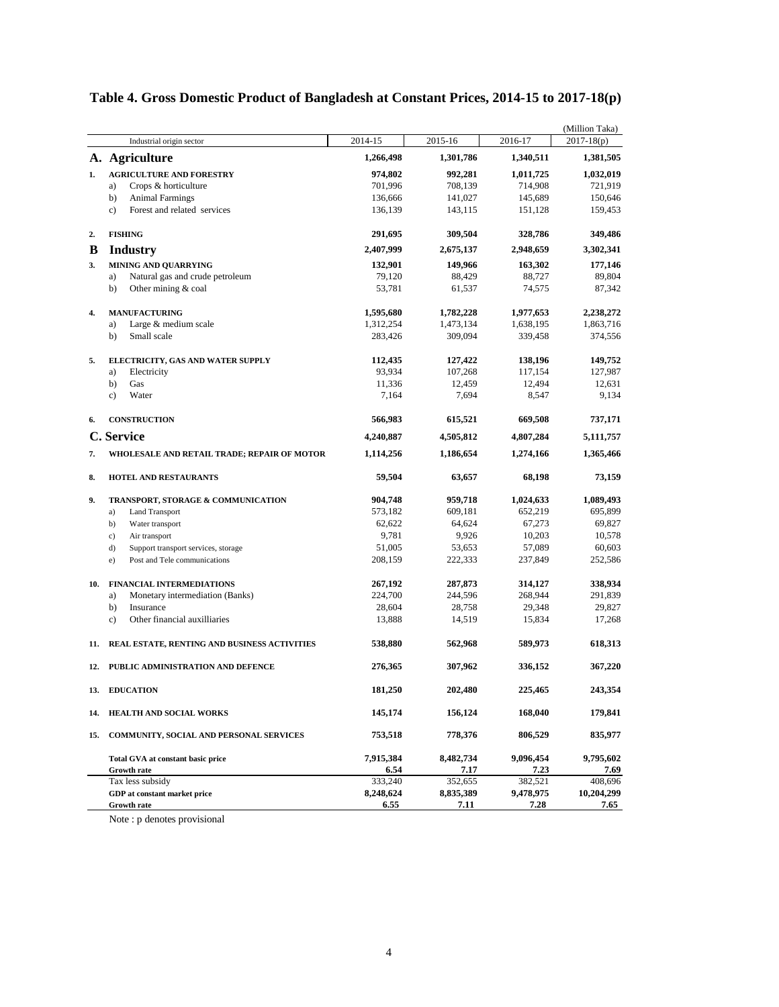|     |                                               |           |           |           | (Million Taka) |
|-----|-----------------------------------------------|-----------|-----------|-----------|----------------|
|     | Industrial origin sector                      | 2014-15   | 2015-16   | 2016-17   | $2017 - 18(p)$ |
|     | A. Agriculture                                | 1,266,498 | 1,301,786 | 1,340,511 | 1,381,505      |
| 1.  | <b>AGRICULTURE AND FORESTRY</b>               | 974,802   | 992,281   | 1,011,725 | 1,032,019      |
|     | Crops & horticulture<br>a)                    | 701,996   | 708,139   | 714,908   | 721,919        |
|     | b)<br><b>Animal Farmings</b>                  | 136,666   | 141,027   | 145,689   | 150,646        |
|     | Forest and related services<br>$\mathbf{c}$ ) | 136,139   | 143,115   | 151,128   | 159,453        |
| 2.  | <b>FISHING</b>                                | 291,695   | 309,504   | 328,786   | 349,486        |
| B   | <b>Industry</b>                               | 2,407,999 | 2,675,137 | 2,948,659 | 3,302,341      |
| 3.  | <b>MINING AND QUARRYING</b>                   | 132,901   | 149,966   | 163,302   | 177,146        |
|     | Natural gas and crude petroleum<br>a)         | 79,120    | 88,429    | 88,727    | 89,804         |
|     | Other mining & coal<br>b)                     | 53,781    | 61,537    | 74,575    | 87,342         |
| 4.  | <b>MANUFACTURING</b>                          | 1,595,680 | 1,782,228 | 1,977,653 | 2,238,272      |
|     | Large & medium scale<br>a)                    | 1,312,254 | 1,473,134 | 1,638,195 | 1,863,716      |
|     | Small scale<br>b)                             | 283,426   | 309,094   | 339,458   | 374,556        |
| 5.  | ELECTRICITY, GAS AND WATER SUPPLY             | 112,435   | 127,422   | 138,196   | 149,752        |
|     | Electricity<br>a)                             | 93,934    | 107,268   | 117,154   | 127,987        |
|     | b)<br>Gas                                     | 11,336    | 12,459    | 12,494    | 12,631         |
|     | Water<br>c)                                   | 7,164     | 7,694     | 8,547     | 9,134          |
| 6.  | <b>CONSTRUCTION</b>                           | 566,983   | 615,521   | 669,508   | 737,171        |
|     | C. Service                                    | 4,240,887 | 4,505,812 | 4,807,284 | 5,111,757      |
| 7.  | WHOLESALE AND RETAIL TRADE; REPAIR OF MOTOR   | 1,114,256 | 1,186,654 | 1,274,166 | 1,365,466      |
| 8.  | <b>HOTEL AND RESTAURANTS</b>                  | 59,504    | 63,657    | 68,198    | 73,159         |
| 9.  | TRANSPORT, STORAGE & COMMUNICATION            | 904,748   | 959,718   | 1,024,633 | 1,089,493      |
|     | a)<br><b>Land Transport</b>                   | 573,182   | 609,181   | 652,219   | 695,899        |
|     | b)<br>Water transport                         | 62,622    | 64,624    | 67,273    | 69,827         |
|     | c)<br>Air transport                           | 9,781     | 9,926     | 10,203    | 10,578         |
|     | d)<br>Support transport services, storage     | 51,005    | 53,653    | 57,089    | 60,603         |
|     | Post and Tele communications<br>e)            | 208,159   | 222,333   | 237,849   | 252,586        |
| 10. | <b>FINANCIAL INTERMEDIATIONS</b>              | 267,192   | 287,873   | 314,127   | 338,934        |
|     | Monetary intermediation (Banks)<br>a)         | 224,700   | 244,596   | 268,944   | 291,839        |
|     | b)<br>Insurance                               | 28,604    | 28,758    | 29,348    | 29,827         |
|     | $\mathbf{c})$<br>Other financial auxilliaries | 13,888    | 14,519    | 15,834    | 17,268         |
| 11. | REAL ESTATE, RENTING AND BUSINESS ACTIVITIES  | 538,880   | 562,968   | 589,973   | 618,313        |
| 12. | PUBLIC ADMINISTRATION AND DEFENCE             | 276,365   | 307,962   | 336,152   | 367,220        |
| 13. | <b>EDUCATION</b>                              | 181,250   | 202,480   | 225,465   | 243,354        |
| 14. | HEALTH AND SOCIAL WORKS                       | 145,174   | 156,124   | 168,040   | 179,841        |
| 15. | COMMUNITY, SOCIAL AND PERSONAL SERVICES       | 753,518   | 778,376   | 806,529   | 835,977        |
|     | Total GVA at constant basic price             | 7,915,384 | 8,482,734 | 9,096,454 | 9,795,602      |
|     | <b>Growth rate</b>                            | 6.54      | 7.17      | 7.23      | 7.69           |
|     | Tax less subsidy                              | 333,240   | 352,655   | 382,521   | 408,696        |
|     | GDP at constant market price                  | 8,248,624 | 8,835,389 | 9,478,975 | 10,204,299     |
|     | <b>Growth rate</b>                            | 6.55      | 7.11      | 7.28      | 7.65           |

# **Table 4. Gross Domestic Product of Bangladesh at Constant Prices, 2014-15 to 2017-18(p)**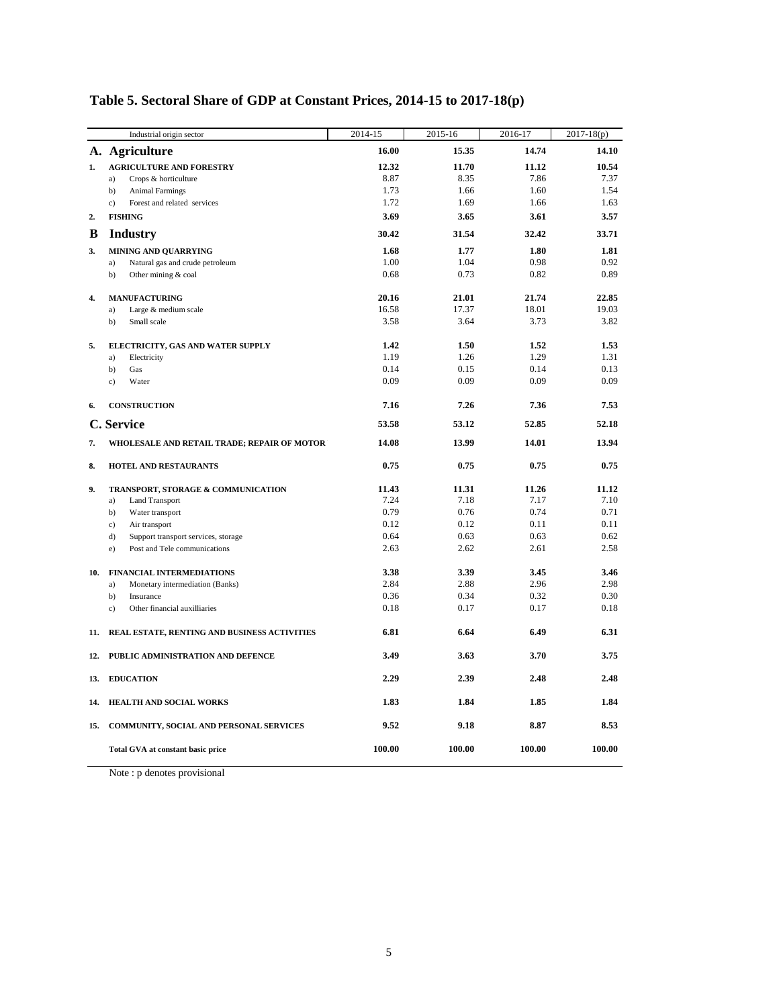|     | Industrial origin sector                     | 2014-15      | 2015-16 | 2016-17 | $2017 - 18(p)$ |
|-----|----------------------------------------------|--------------|---------|---------|----------------|
|     | A. Agriculture                               | 16.00        | 15.35   | 14.74   | 14.10          |
| 1.  | <b>AGRICULTURE AND FORESTRY</b>              | 12.32        | 11.70   | 11.12   | 10.54          |
|     | Crops & horticulture<br>a)                   | 8.87         | 8.35    | 7.86    | 7.37           |
|     | b)<br><b>Animal Farmings</b>                 | 1.73<br>1.72 | 1.66    | 1.60    | 1.54           |
|     | Forest and related services<br>$\mathbf{c}$  |              | 1.69    | 1.66    | 1.63           |
| 2.  | <b>FISHING</b>                               | 3.69         | 3.65    | 3.61    | 3.57           |
| B   | <b>Industry</b>                              | 30.42        | 31.54   | 32.42   | 33.71          |
| 3.  | MINING AND QUARRYING                         | 1.68         | 1.77    | 1.80    | 1.81           |
|     | Natural gas and crude petroleum<br>a)        | 1.00         | 1.04    | 0.98    | 0.92           |
|     | b)<br>Other mining & coal                    | 0.68         | 0.73    | 0.82    | 0.89           |
| 4.  | <b>MANUFACTURING</b>                         | 20.16        | 21.01   | 21.74   | 22.85          |
|     | Large & medium scale<br>a)                   | 16.58        | 17.37   | 18.01   | 19.03          |
|     | b)<br>Small scale                            | 3.58         | 3.64    | 3.73    | 3.82           |
| 5.  | ELECTRICITY, GAS AND WATER SUPPLY            | 1.42         | 1.50    | 1.52    | 1.53           |
|     | a)<br>Electricity                            | 1.19         | 1.26    | 1.29    | 1.31           |
|     | b)<br>Gas                                    | 0.14         | 0.15    | 0.14    | 0.13           |
|     | $\mathbf{c}$ )<br>Water                      | 0.09         | 0.09    | 0.09    | 0.09           |
| 6.  | <b>CONSTRUCTION</b>                          | 7.16         | 7.26    | 7.36    | 7.53           |
|     | C. Service                                   | 53.58        | 53.12   | 52.85   | 52.18          |
| 7.  | WHOLESALE AND RETAIL TRADE; REPAIR OF MOTOR  | 14.08        | 13.99   | 14.01   | 13.94          |
| 8.  | <b>HOTEL AND RESTAURANTS</b>                 | 0.75         | 0.75    | 0.75    | 0.75           |
| 9.  | TRANSPORT, STORAGE & COMMUNICATION           | 11.43        | 11.31   | 11.26   | 11.12          |
|     | <b>Land Transport</b><br>a)                  | 7.24         | 7.18    | 7.17    | 7.10           |
|     | b)<br>Water transport                        | 0.79         | 0.76    | 0.74    | 0.71           |
|     | c)<br>Air transport                          | 0.12         | 0.12    | 0.11    | 0.11           |
|     | d)<br>Support transport services, storage    | 0.64         | 0.63    | 0.63    | 0.62           |
|     | e)<br>Post and Tele communications           | 2.63         | 2.62    | 2.61    | 2.58           |
| 10. | <b>FINANCIAL INTERMEDIATIONS</b>             | 3.38         | 3.39    | 3.45    | 3.46           |
|     | Monetary intermediation (Banks)<br>a)        | 2.84         | 2.88    | 2.96    | 2.98           |
|     | b)<br>Insurance                              | 0.36         | 0.34    | 0.32    | 0.30           |
|     | Other financial auxilliaries<br>$\mathbf{c}$ | 0.18         | 0.17    | 0.17    | 0.18           |
| 11. | REAL ESTATE, RENTING AND BUSINESS ACTIVITIES | 6.81         | 6.64    | 6.49    | 6.31           |
| 12. | PUBLIC ADMINISTRATION AND DEFENCE            | 3.49         | 3.63    | 3.70    | 3.75           |
| 13. | <b>EDUCATION</b>                             | 2.29         | 2.39    | 2.48    | 2.48           |
| 14. | HEALTH AND SOCIAL WORKS                      | 1.83         | 1.84    | 1.85    | 1.84           |
| 15. | COMMUNITY, SOCIAL AND PERSONAL SERVICES      | 9.52         | 9.18    | 8.87    | 8.53           |
|     | Total GVA at constant basic price            | 100.00       | 100.00  | 100.00  | 100.00         |

# **Table 5. Sectoral Share of GDP at Constant Prices, 2014-15 to 2017-18(p)**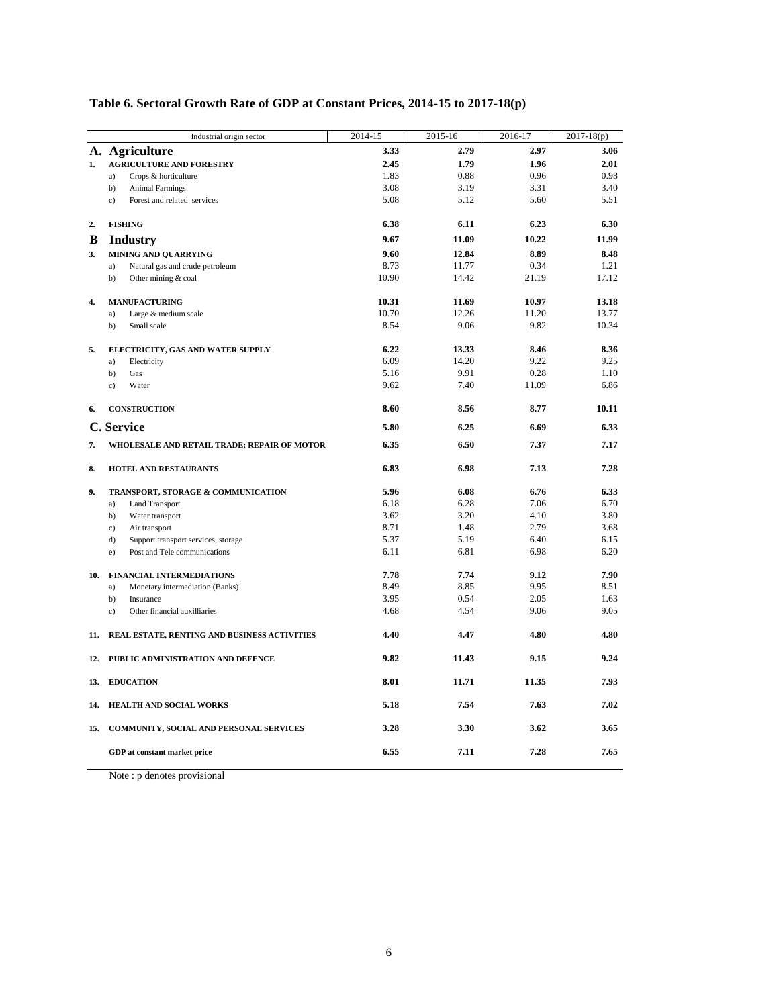|     | Industrial origin sector                         | 2014-15 | 2015-16 | 2016-17 | $\overline{2017} - 18(p)$ |
|-----|--------------------------------------------------|---------|---------|---------|---------------------------|
|     | A. Agriculture                                   | 3.33    | 2.79    | 2.97    | 3.06                      |
| 1.  | <b>AGRICULTURE AND FORESTRY</b>                  | 2.45    | 1.79    | 1.96    | 2.01                      |
|     | a)<br>Crops & horticulture                       | 1.83    | 0.88    | 0.96    | 0.98                      |
|     | b)<br><b>Animal Farmings</b>                     | 3.08    | 3.19    | 3.31    | 3.40                      |
|     | Forest and related services<br>$\mathbf{c}$ )    | 5.08    | 5.12    | 5.60    | 5.51                      |
| 2.  | <b>FISHING</b>                                   | 6.38    | 6.11    | 6.23    | 6.30                      |
| B   | <b>Industry</b>                                  | 9.67    | 11.09   | 10.22   | 11.99                     |
| 3.  | MINING AND QUARRYING                             | 9.60    | 12.84   | 8.89    | 8.48                      |
|     | a)<br>Natural gas and crude petroleum            | 8.73    | 11.77   | 0.34    | 1.21                      |
|     | b)<br>Other mining & coal                        | 10.90   | 14.42   | 21.19   | 17.12                     |
| 4.  | <b>MANUFACTURING</b>                             | 10.31   | 11.69   | 10.97   | 13.18                     |
|     | Large & medium scale<br>a)                       | 10.70   | 12.26   | 11.20   | 13.77                     |
|     | b)<br>Small scale                                | 8.54    | 9.06    | 9.82    | 10.34                     |
| 5.  | ELECTRICITY, GAS AND WATER SUPPLY                | 6.22    | 13.33   | 8.46    | 8.36                      |
|     | Electricity<br>a)                                | 6.09    | 14.20   | 9.22    | 9.25                      |
|     | b)<br>Gas                                        | 5.16    | 9.91    | 0.28    | 1.10                      |
|     | Water<br>$\mathbf{c}$ )                          | 9.62    | 7.40    | 11.09   | 6.86                      |
| 6.  | <b>CONSTRUCTION</b>                              | 8.60    | 8.56    | 8.77    | 10.11                     |
|     | C. Service                                       | 5.80    | 6.25    | 6.69    | 6.33                      |
| 7.  | WHOLESALE AND RETAIL TRADE; REPAIR OF MOTOR      | 6.35    | 6.50    | 7.37    | 7.17                      |
| 8.  | <b>HOTEL AND RESTAURANTS</b>                     | 6.83    | 6.98    | 7.13    | 7.28                      |
| 9.  | TRANSPORT, STORAGE & COMMUNICATION               | 5.96    | 6.08    | 6.76    | 6.33                      |
|     | a)<br><b>Land Transport</b>                      | 6.18    | 6.28    | 7.06    | 6.70                      |
|     | b)<br>Water transport                            | 3.62    | 3.20    | 4.10    | 3.80                      |
|     | c)<br>Air transport                              | 8.71    | 1.48    | 2.79    | 3.68                      |
|     | d)<br>Support transport services, storage        | 5.37    | 5.19    | 6.40    | 6.15                      |
|     | Post and Tele communications<br>e)               | 6.11    | 6.81    | 6.98    | 6.20                      |
| 10. | <b>FINANCIAL INTERMEDIATIONS</b>                 | 7.78    | 7.74    | 9.12    | 7.90                      |
|     | a)<br>Monetary intermediation (Banks)            | 8.49    | 8.85    | 9.95    | 8.51                      |
|     | b)<br>Insurance                                  | 3.95    | 0.54    | 2.05    | 1.63                      |
|     | Other financial auxilliaries<br>$\mathbf{c}$ )   | 4.68    | 4.54    | 9.06    | 9.05                      |
|     | 11. REAL ESTATE, RENTING AND BUSINESS ACTIVITIES | 4.40    | 4.47    | 4.80    | 4.80                      |
|     | 12. PUBLIC ADMINISTRATION AND DEFENCE            | 9.82    | 11.43   | 9.15    | 9.24                      |
|     | 13. EDUCATION                                    | 8.01    | 11.71   | 11.35   | 7.93                      |
| 14. | HEALTH AND SOCIAL WORKS                          | 5.18    | 7.54    | 7.63    | 7.02                      |
|     | 15. COMMUNITY, SOCIAL AND PERSONAL SERVICES      | 3.28    | 3.30    | 3.62    | 3.65                      |
|     | GDP at constant market price                     | 6.55    | 7.11    | 7.28    | 7.65                      |
|     |                                                  |         |         |         |                           |

### **Table 6. Sectoral Growth Rate of GDP at Constant Prices, 2014-15 to 2017-18(p)**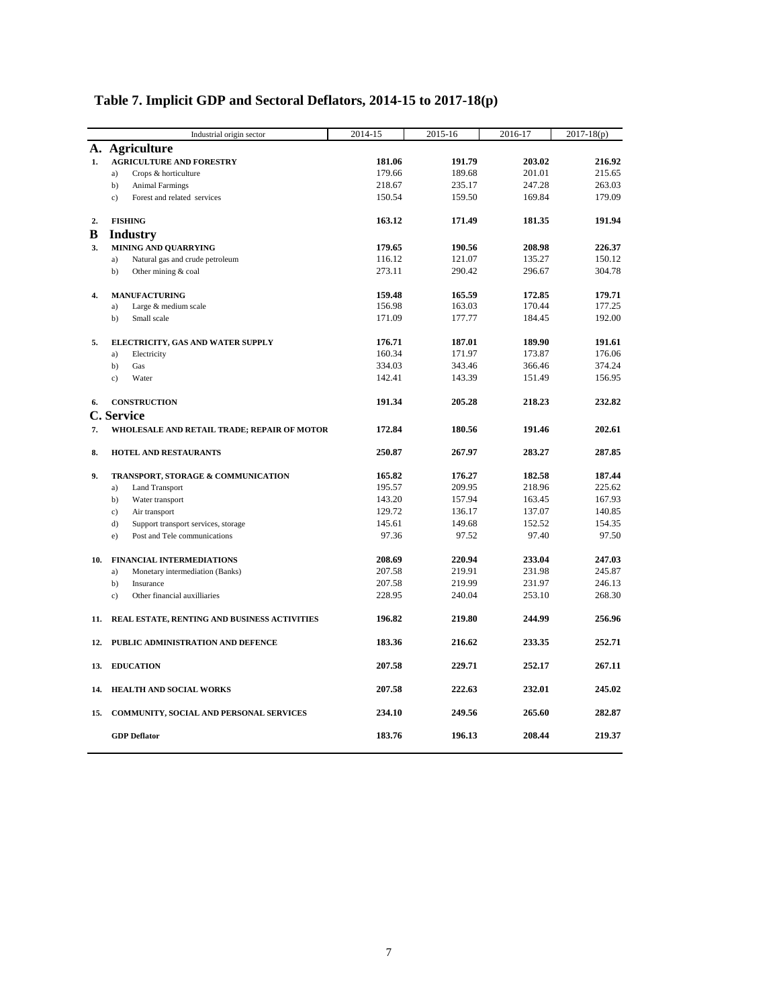|     | Industrial origin sector                     | 2014-15 | 2015-16 | 2016-17 | $2017 - 18(p)$ |
|-----|----------------------------------------------|---------|---------|---------|----------------|
|     | A. Agriculture                               |         |         |         |                |
| 1.  | <b>AGRICULTURE AND FORESTRY</b>              | 181.06  | 191.79  | 203.02  | 216.92         |
|     | a)<br>Crops & horticulture                   | 179.66  | 189.68  | 201.01  | 215.65         |
|     | b)<br><b>Animal Farmings</b>                 | 218.67  | 235.17  | 247.28  | 263.03         |
|     | Forest and related services<br>c)            | 150.54  | 159.50  | 169.84  | 179.09         |
| 2.  | <b>FISHING</b>                               | 163.12  | 171.49  | 181.35  | 191.94         |
| B   | <b>Industry</b>                              |         |         |         |                |
| 3.  | MINING AND QUARRYING                         | 179.65  | 190.56  | 208.98  | 226.37         |
|     | Natural gas and crude petroleum<br>a)        | 116.12  | 121.07  | 135.27  | 150.12         |
|     | b)<br>Other mining & coal                    | 273.11  | 290.42  | 296.67  | 304.78         |
| 4.  | <b>MANUFACTURING</b>                         | 159.48  | 165.59  | 172.85  | 179.71         |
|     | Large & medium scale<br>a)                   | 156.98  | 163.03  | 170.44  | 177.25         |
|     | b)<br>Small scale                            | 171.09  | 177.77  | 184.45  | 192.00         |
| 5.  | ELECTRICITY, GAS AND WATER SUPPLY            | 176.71  | 187.01  | 189.90  | 191.61         |
|     | Electricity<br>a)                            | 160.34  | 171.97  | 173.87  | 176.06         |
|     | b)<br>Gas                                    | 334.03  | 343.46  | 366.46  | 374.24         |
|     | Water<br>c)                                  | 142.41  | 143.39  | 151.49  | 156.95         |
| 6.  | <b>CONSTRUCTION</b>                          | 191.34  | 205.28  | 218.23  | 232.82         |
|     | C. Service                                   |         |         |         |                |
| 7.  | WHOLESALE AND RETAIL TRADE; REPAIR OF MOTOR  | 172.84  | 180.56  | 191.46  | 202.61         |
| 8.  | <b>HOTEL AND RESTAURANTS</b>                 | 250.87  | 267.97  | 283.27  | 287.85         |
| 9.  | TRANSPORT, STORAGE & COMMUNICATION           | 165.82  | 176.27  | 182.58  | 187.44         |
|     | <b>Land Transport</b><br>a)                  | 195.57  | 209.95  | 218.96  | 225.62         |
|     | b)<br>Water transport                        | 143.20  | 157.94  | 163.45  | 167.93         |
|     | c)<br>Air transport                          | 129.72  | 136.17  | 137.07  | 140.85         |
|     | $d$ )<br>Support transport services, storage | 145.61  | 149.68  | 152.52  | 154.35         |
|     | Post and Tele communications<br>e)           | 97.36   | 97.52   | 97.40   | 97.50          |
| 10. | <b>FINANCIAL INTERMEDIATIONS</b>             | 208.69  | 220.94  | 233.04  | 247.03         |
|     | Monetary intermediation (Banks)<br>a)        | 207.58  | 219.91  | 231.98  | 245.87         |
|     | b)<br>Insurance                              | 207.58  | 219.99  | 231.97  | 246.13         |
|     | Other financial auxilliaries<br>c)           | 228.95  | 240.04  | 253.10  | 268.30         |
| 11. | REAL ESTATE, RENTING AND BUSINESS ACTIVITIES | 196.82  | 219.80  | 244.99  | 256.96         |
|     | 12. PUBLIC ADMINISTRATION AND DEFENCE        | 183.36  | 216.62  | 233.35  | 252.71         |
|     | 13. EDUCATION                                | 207.58  | 229.71  | 252.17  | 267.11         |
| 14. | HEALTH AND SOCIAL WORKS                      | 207.58  | 222.63  | 232.01  | 245.02         |
| 15. | COMMUNITY, SOCIAL AND PERSONAL SERVICES      | 234.10  | 249.56  | 265.60  | 282.87         |
|     | <b>GDP</b> Deflator                          | 183.76  | 196.13  | 208.44  | 219.37         |

# **Table 7. Implicit GDP and Sectoral Deflators, 2014-15 to 2017-18(p)**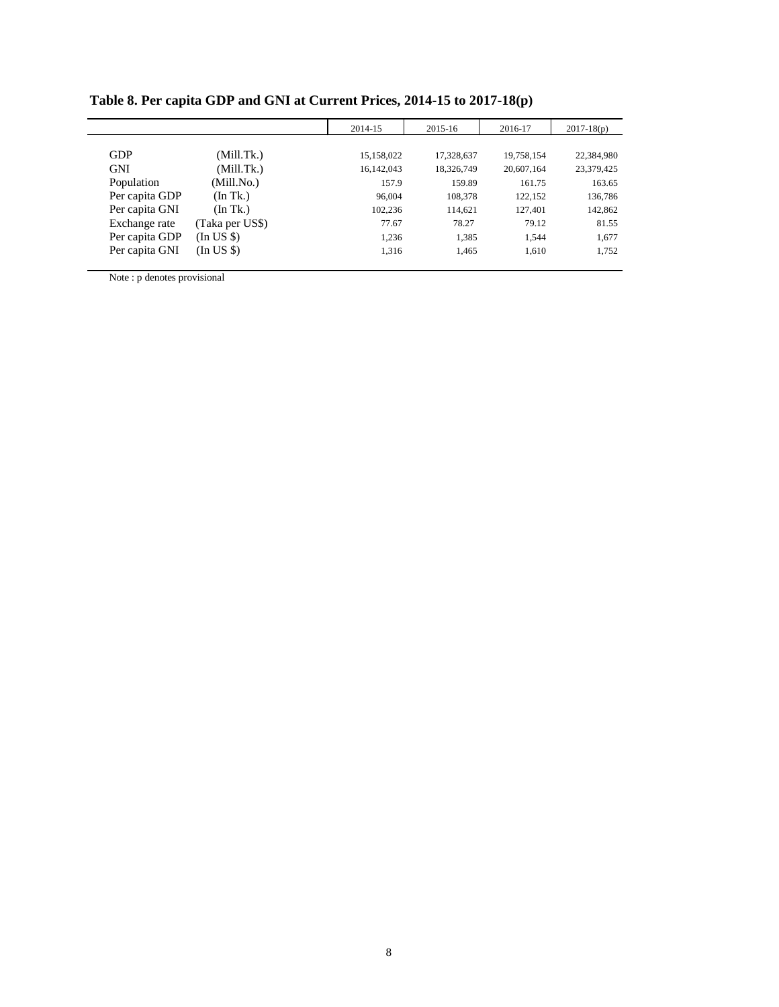|                |                 | 2014-15    | 2015-16    | 2016-17    | $2017 - 18(p)$ |
|----------------|-----------------|------------|------------|------------|----------------|
|                |                 |            |            |            |                |
| <b>GDP</b>     | (Mill.Tk.)      | 15,158,022 | 17,328,637 | 19,758,154 | 22,384,980     |
| <b>GNI</b>     | (Mill.Tk.)      | 16,142,043 | 18,326,749 | 20,607,164 | 23,379,425     |
| Population     | (Mill.No.)      | 157.9      | 159.89     | 161.75     | 163.65         |
| Per capita GDP | (In Tk.)        | 96,004     | 108,378    | 122,152    | 136,786        |
| Per capita GNI | (In Tk.)        | 102.236    | 114.621    | 127,401    | 142,862        |
| Exchange rate  | (Taka per US\$) | 77.67      | 78.27      | 79.12      | 81.55          |
| Per capita GDP | (In US \$)      | 1,236      | 1.385      | 1.544      | 1,677          |
| Per capita GNI | (In US \$)      | 1,316      | 1,465      | 1,610      | 1,752          |

**Table 8. Per capita GDP and GNI at Current Prices, 2014-15 to 2017-18(p)**